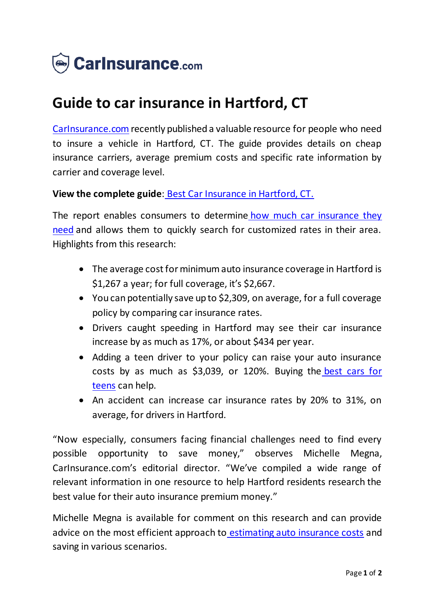

## **Guide to car insurance in Hartford, CT**

[CarInsurance.com](https://www.carinsurance.com/) recently published a valuable resource for people who need to insure a vehicle in Hartford, CT. The guide provides details on cheap insurance carriers, average premium costs and specific rate information by carrier and coverage level.

## **View the complete guide**: [Best Car Insurance in Hartford, CT](https://www.carinsurance.com/hartford-car-insurance-ct/).

The report enables consumers to determine how much car insurance they [need](https://www.carinsurance.com/Articles/how-much-car-insurance-should-you-buy.aspx) and allows them to quickly search for customized rates in their area. Highlights from this research:

- The average cost for minimum auto insurance coverage in Hartford is \$1,267 a year; for full coverage, it's \$2,667.
- You can potentially save up to \$2,309, on average, for a full coverage policy by comparing car insurance rates.
- Drivers caught speeding in Hartford may see their car insurance increase by as much as 17%, or about \$434 per year.
- Adding a teen driver to your policy can raise your auto insurance costs by as much as \$3,039, or 120%. Buying the [best cars for](https://www.carinsurance.com/best-cars-for-teens.aspx)  [teens](https://www.carinsurance.com/best-cars-for-teens.aspx) can help.
- An accident can increase car insurance rates by 20% to 31%, on average, for drivers in Hartford.

"Now especially, consumers facing financial challenges need to find every possible opportunity to save money," observes Michelle Megna, CarInsurance.com's editorial director. "We've compiled a wide range of relevant information in one resource to help Hartford residents research the best value for their auto insurance premium money."

Michelle Megna is available for comment on this research and can provide advice on the most efficient approach to [estimating auto insurance costs](https://www.carinsurance.com/car-insurance-estimator.aspx) and saving in various scenarios.